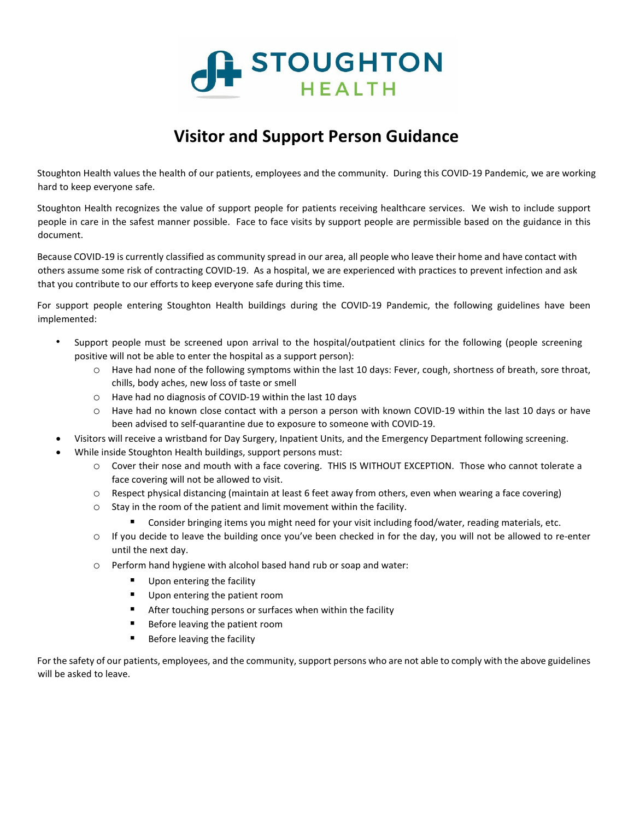

## **Visitor and Support Person Guidance**

Stoughton Health values the health of our patients, employees and the community. During this COVID-19 Pandemic, we are working hard to keep everyone safe.

Stoughton Health recognizes the value of support people for patients receiving healthcare services. We wish to include support people in care in the safest manner possible. Face to face visits by support people are permissible based on the guidance in this document.

Because COVID-19 is currently classified as community spread in our area, all people who leave their home and have contact with others assume some risk of contracting COVID-19. As a hospital, we are experienced with practices to prevent infection and ask that you contribute to our efforts to keep everyone safe during this time.

For support people entering Stoughton Health buildings during the COVID-19 Pandemic, the following guidelines have been implemented:

- Support people must be screened upon arrival to the hospital/outpatient clinics for the following (people screening positive will not be able to enter the hospital as a support person):
	- o Have had none of the following symptoms within the last 10 days: Fever, cough, shortness of breath, sore throat, chills, body aches, new loss of taste or smell
	- o Have had no diagnosis of COVID-19 within the last 10 days
	- o Have had no known close contact with a person a person with known COVID-19 within the last 10 days or have been advised to self-quarantine due to exposure to someone with COVID-19.
- Visitors will receive a wristband for Day Surgery, Inpatient Units, and the Emergency Department following screening.
- While inside Stoughton Health buildings, support persons must:
	- o Cover their nose and mouth with a face covering. THIS IS WITHOUT EXCEPTION. Those who cannot tolerate a face covering will not be allowed to visit.
	- o Respect physical distancing (maintain at least 6 feet away from others, even when wearing a face covering)
	- o Stay in the room of the patient and limit movement within the facility.
		- Consider bringing items you might need for your visit including food/water, reading materials, etc.
	- $\circ$  If you decide to leave the building once you've been checked in for the day, you will not be allowed to re-enter until the next day.
	- o Perform hand hygiene with alcohol based hand rub or soap and water:
		- Upon entering the facility
		- Upon entering the patient room
		- **E** After touching persons or surfaces when within the facility
		- Before leaving the patient room
		- **Before leaving the facility**

For the safety of our patients, employees, and the community, support persons who are not able to comply with the above guidelines will be asked to leave.